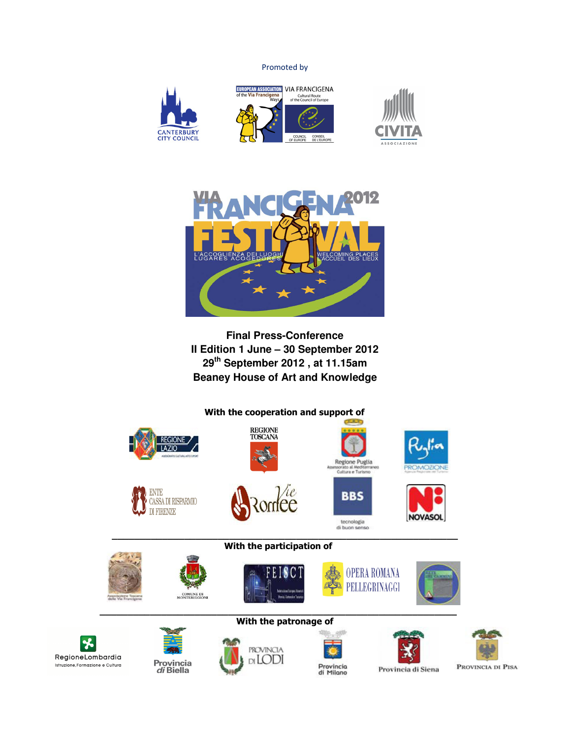Promoted by



 $\mathbf{r}$ 







**Final Press-Conference II Edition 1 June – 30 September 2012 29th September 2012 , at 11.15am Beaney House of Art and Knowledge** 





PROVINCIA DI PISA

Provincia di Siena